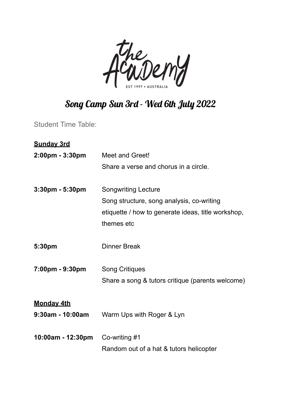

## Song Camp Sun 3rd - Wed 6th July 2022

Student Time Table:

| <b>Sunday 3rd</b>   |                                                    |
|---------------------|----------------------------------------------------|
| 2:00pm - 3:30pm     | Meet and Greet!                                    |
|                     | Share a verse and chorus in a circle.              |
| $3:30$ pm - 5:30pm  | <b>Songwriting Lecture</b>                         |
|                     | Song structure, song analysis, co-writing          |
|                     | etiquette / how to generate ideas, title workshop, |
|                     | themes etc                                         |
| 5:30pm              | <b>Dinner Break</b>                                |
| 7:00pm - 9:30pm     | <b>Song Critiques</b>                              |
|                     | Share a song & tutors critique (parents welcome)   |
| <b>Monday 4th</b>   |                                                    |
| $9:30$ am - 10:00am | Warm Ups with Roger & Lyn                          |
| 10:00am - 12:30pm   | Co-writing #1                                      |
|                     | Random out of a hat & tutors helicopter            |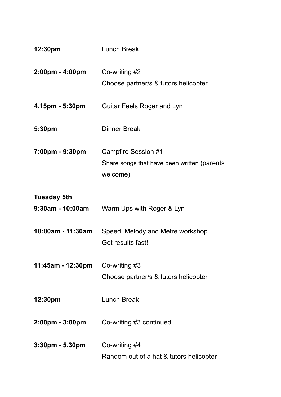| 12:30pm                                | Lunch Break                                                                    |
|----------------------------------------|--------------------------------------------------------------------------------|
| $2:00 \text{pm} - 4:00 \text{pm}$      | Co-writing #2<br>Choose partner/s & tutors helicopter                          |
| $4.15 \text{pm} - 5:30 \text{pm}$      | <b>Guitar Feels Roger and Lyn</b>                                              |
| 5:30pm                                 | <b>Dinner Break</b>                                                            |
| 7:00pm - 9:30pm                        | Campfire Session #1<br>Share songs that have been written (parents<br>welcome) |
| <u>Tuesday 5th</u><br>9:30am - 10:00am | Warm Ups with Roger & Lyn                                                      |
| 10:00am - 11:30am                      | Speed, Melody and Metre workshop<br>Get results fast!                          |
| 11:45am - 12:30pm                      | Co-writing #3<br>Choose partner/s & tutors helicopter                          |
| 12:30pm                                | Lunch Break                                                                    |
| $2:00 \text{pm} - 3:00 \text{pm}$      | Co-writing #3 continued.                                                       |
| $3:30 \text{pm} - 5.30 \text{pm}$      | Co-writing #4<br>Random out of a hat & tutors helicopter                       |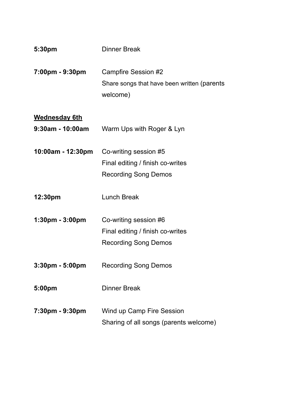| 5:30pm               | <b>Dinner Break</b>                                                            |
|----------------------|--------------------------------------------------------------------------------|
| 7:00pm - 9:30pm      | Campfire Session #2<br>Share songs that have been written (parents<br>welcome) |
| <b>Wednesday 6th</b> |                                                                                |
| 9:30am - 10:00am     | Warm Ups with Roger & Lyn                                                      |
| 10:00am - 12:30pm    | Co-writing session #5                                                          |
|                      | Final editing / finish co-writes                                               |
|                      | <b>Recording Song Demos</b>                                                    |
| 12:30pm              | <b>Lunch Break</b>                                                             |
| 1:30pm - 3:00pm      | Co-writing session #6                                                          |
|                      | Final editing / finish co-writes                                               |
|                      | <b>Recording Song Demos</b>                                                    |
| 3:30pm - 5:00pm      | <b>Recording Song Demos</b>                                                    |
| 5:00pm               | Dinner Break                                                                   |
| 7:30pm - 9:30pm      | Wind up Camp Fire Session<br>Sharing of all songs (parents welcome)            |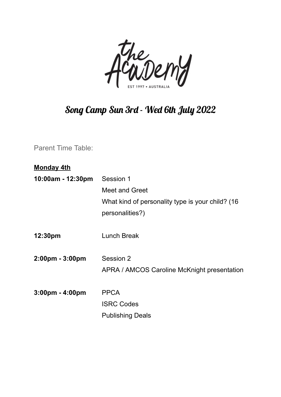

## Song Camp Sun 3rd - Wed 6th July 2022

Parent Time Table:

| <u>Monday 4th</u>                 |                                                  |
|-----------------------------------|--------------------------------------------------|
| 10:00am - 12:30pm                 | Session 1                                        |
|                                   | <b>Meet and Greet</b>                            |
|                                   | What kind of personality type is your child? (16 |
|                                   | personalities?)                                  |
| 12:30pm                           | <b>Lunch Break</b>                               |
| 2:00pm - 3:00pm                   | Session 2                                        |
|                                   | APRA / AMCOS Caroline McKnight presentation      |
| $3:00 \text{pm} - 4:00 \text{pm}$ | <b>PPCA</b>                                      |
|                                   | <b>ISRC Codes</b>                                |
|                                   | <b>Publishing Deals</b>                          |